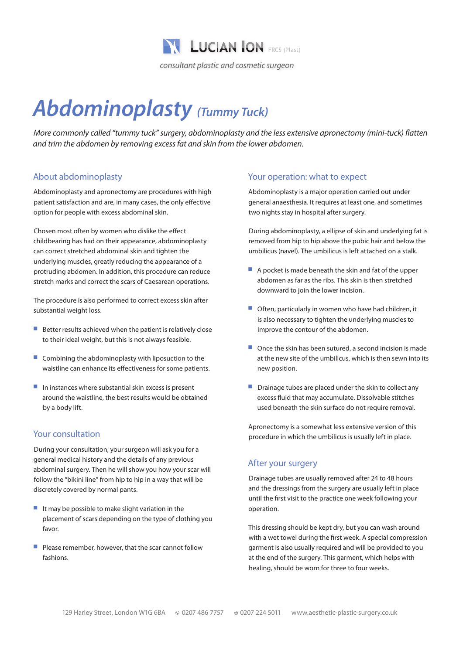

# *Abdominoplasty (Tummy Tuck)*

*More commonly called "tummy tuck" surgery, abdominoplasty and the less extensive apronectomy (mini-tuck) flatten and trim the abdomen by removing excess fat and skin from the lower abdomen.*

### About abdominoplasty

Abdominoplasty and apronectomy are procedures with high patient satisfaction and are, in many cases, the only effective option for people with excess abdominal skin.

Chosen most often by women who dislike the effect childbearing has had on their appearance, abdominoplasty can correct stretched abdominal skin and tighten the underlying muscles, greatly reducing the appearance of a protruding abdomen. In addition, this procedure can reduce stretch marks and correct the scars of Caesarean operations.

The procedure is also performed to correct excess skin after substantial weight loss.

- $\blacksquare$  Better results achieved when the patient is relatively close to their ideal weight, but this is not always feasible.
- $\blacksquare$  Combining the abdominoplasty with liposuction to the waistline can enhance its effectiveness for some patients.
- $\blacksquare$  In instances where substantial skin excess is present around the waistline, the best results would be obtained by a body lift.

## Your consultation

During your consultation, your surgeon will ask you for a general medical history and the details of any previous abdominal surgery. Then he will show you how your scar will follow the "bikini line" from hip to hip in a way that will be discretely covered by normal pants.

- $\blacksquare$  It may be possible to make slight variation in the placement of scars depending on the type of clothing you favor.
- Please remember, however, that the scar cannot follow fashions.

#### Your operation: what to expect

Abdominoplasty is a major operation carried out under general anaesthesia. It requires at least one, and sometimes two nights stay in hospital after surgery.

During abdominoplasty, a ellipse of skin and underlying fat is removed from hip to hip above the pubic hair and below the umbilicus (navel). The umbilicus is left attached on a stalk.

- $\blacksquare$  A pocket is made beneath the skin and fat of the upper abdomen as far as the ribs. This skin is then stretched downward to join the lower incision.
- $\blacksquare$  Often, particularly in women who have had children, it is also necessary to tighten the underlying muscles to improve the contour of the abdomen.
- $\blacksquare$  Once the skin has been sutured, a second incision is made at the new site of the umbilicus, which is then sewn into its new position.
- $\blacksquare$  Drainage tubes are placed under the skin to collect any excess fluid that may accumulate. Dissolvable stitches used beneath the skin surface do not require removal.

Apronectomy is a somewhat less extensive version of this procedure in which the umbilicus is usually left in place.

## After your surgery

Drainage tubes are usually removed after 24 to 48 hours and the dressings from the surgery are usually left in place until the first visit to the practice one week following your operation.

This dressing should be kept dry, but you can wash around with a wet towel during the first week. A special compression garment is also usually required and will be provided to you at the end of the surgery. This garment, which helps with healing, should be worn for three to four weeks.